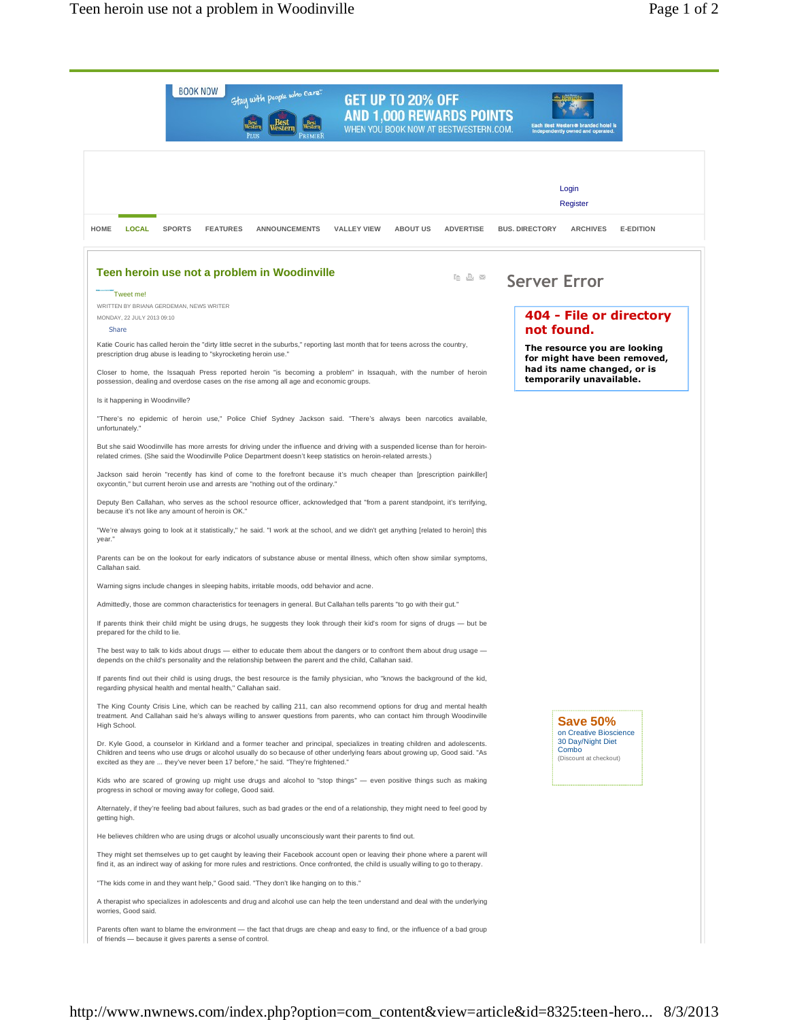**BOOK NOW** 

.<br>Tweet me!

MONDAY, 22 JULY 2013 09:10

Share

Is it happening in Woodinville?

unfortunately.

year.

Callahan said.

prepared for the child to lie.

WRITTEN BY BRIANA GERDEMAN, NEWS WRITER

because it's not like any amount of heroin is OK."



**Save 50%** 

on Creative Bioscience 30 Day/Night Diet Combo

(Discount at checkout)

If parents find out their child is using drugs, the best resource is the family physician, who "knows the background of the kid, regarding physical health and mental health," Callahan said.

The King County Crisis Line, which can be reached by calling 211, can also recommend options for drug and mental health treatment. And Callahan said he's always willing to answer questions from parents, who can contact him through Woodinville High School.

Dr. Kyle Good, a counselor in Kirkland and a former teacher and principal, specializes in treating children and adolescents. Children and teens who use drugs or alcohol usually do so because of other underlying fears about growing up, Good said. "As excited as they are ... they've never been 17 before," he said. "They're frightened."

Kids who are scared of growing up might use drugs and alcohol to "stop things" — even positive things such as making progress in school or moving away for college, Good said.

Alternately, if they're feeling bad about failures, such as bad grades or the end of a relationship, they might need to feel good by getting high.

He believes children who are using drugs or alcohol usually unconsciously want their parents to find out.

They might set themselves up to get caught by leaving their Facebook account open or leaving their phone where a parent will find it, as an indirect way of asking for more rules and restrictions. Once confronted, the child is usually willing to go to therapy.

"The kids come in and they want help," Good said. "They don't like hanging on to this."

A therapist who specializes in adolescents and drug and alcohol use can help the teen understand and deal with the underlying worries, Good said.

Parents often want to blame the environment - the fact that drugs are cheap and easy to find, or the influence of a bad group of friends — because it gives parents a sense of control.